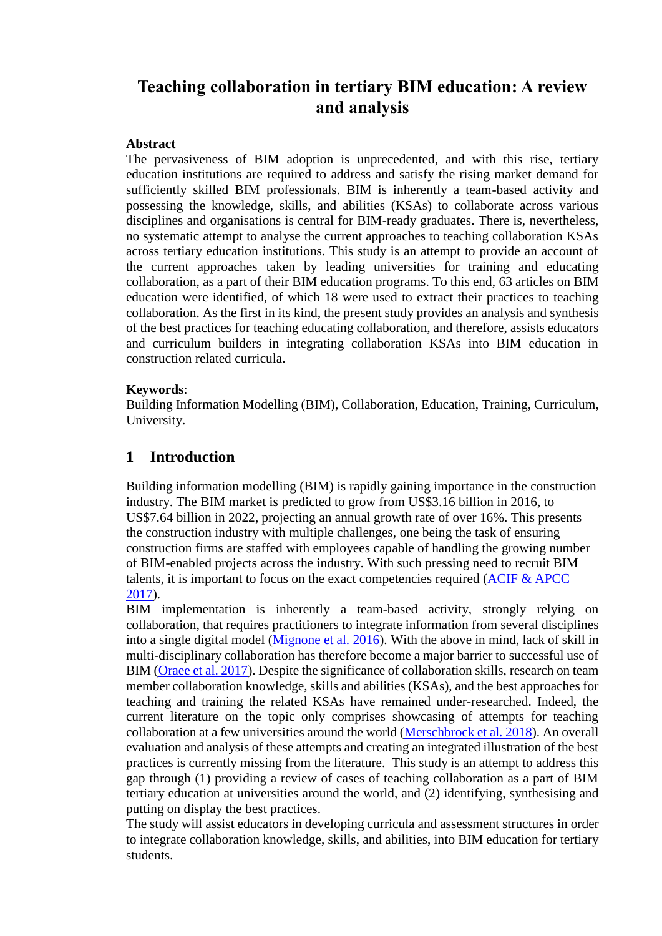# **Teaching collaboration in tertiary BIM education: A review and analysis**

#### **Abstract**

The pervasiveness of BIM adoption is unprecedented, and with this rise, tertiary education institutions are required to address and satisfy the rising market demand for sufficiently skilled BIM professionals. BIM is inherently a team-based activity and possessing the knowledge, skills, and abilities (KSAs) to collaborate across various disciplines and organisations is central for BIM-ready graduates. There is, nevertheless, no systematic attempt to analyse the current approaches to teaching collaboration KSAs across tertiary education institutions. This study is an attempt to provide an account of the current approaches taken by leading universities for training and educating collaboration, as a part of their BIM education programs. To this end, 63 articles on BIM education were identified, of which 18 were used to extract their practices to teaching collaboration. As the first in its kind, the present study provides an analysis and synthesis of the best practices for teaching educating collaboration, and therefore, assists educators and curriculum builders in integrating collaboration KSAs into BIM education in construction related curricula.

#### **Keywords**:

Building Information Modelling (BIM), Collaboration, Education, Training, Curriculum, University.

# **1 Introduction**

Building information modelling (BIM) is rapidly gaining importance in the construction industry. The BIM market is predicted to grow from US\$3.16 billion in 2016, to US\$7.64 billion in 2022, projecting an annual growth rate of over 16%. This presents the construction industry with multiple challenges, one being the task of ensuring construction firms are staffed with employees capable of handling the growing number of BIM-enabled projects across the industry. With such pressing need to recruit BIM talents, it is important to focus on the exact competencies required [\(ACIF & APCC](#page-7-0)  [2017\)](#page-7-0).

BIM implementation is inherently a team-based activity, strongly relying on collaboration, that requires practitioners to integrate information from several disciplines into a single digital model [\(Mignone et al. 2016\)](#page-8-0). With the above in mind, lack of skill in multi-disciplinary collaboration has therefore become a major barrier to successful use of BIM [\(Oraee et al. 2017\)](#page-8-1). Despite the significance of collaboration skills, research on team member collaboration knowledge, skills and abilities (KSAs), and the best approaches for teaching and training the related KSAs have remained under-researched. Indeed, the current literature on the topic only comprises showcasing of attempts for teaching collaboration at a few universities around the world [\(Merschbrock et al. 2018\)](#page-8-2). An overall evaluation and analysis of these attempts and creating an integrated illustration of the best practices is currently missing from the literature. This study is an attempt to address this gap through (1) providing a review of cases of teaching collaboration as a part of BIM tertiary education at universities around the world, and (2) identifying, synthesising and putting on display the best practices.

The study will assist educators in developing curricula and assessment structures in order to integrate collaboration knowledge, skills, and abilities, into BIM education for tertiary students.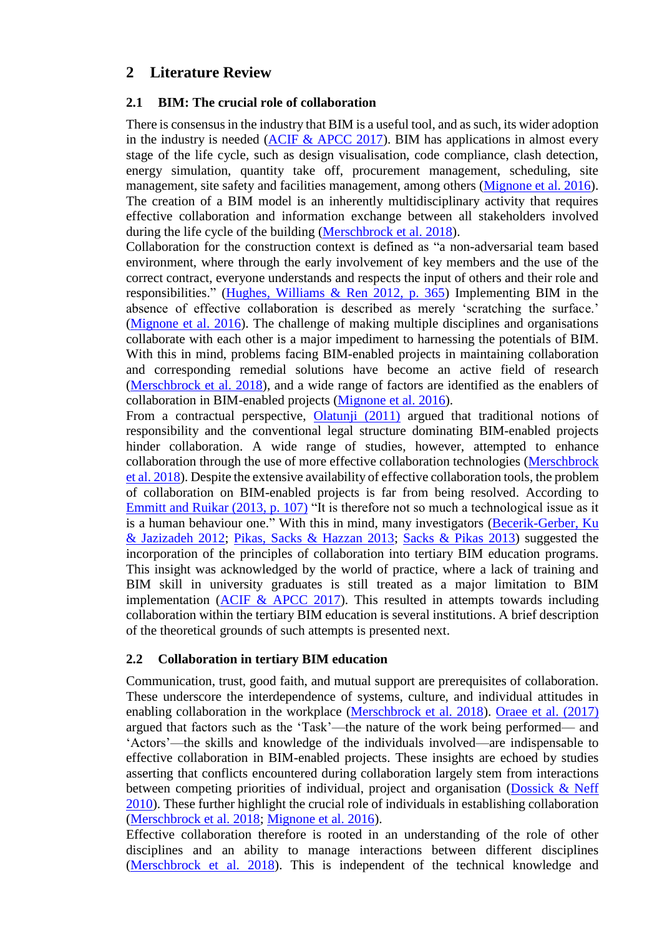# **2 Literature Review**

#### **2.1 BIM: The crucial role of collaboration**

There is consensus in the industry that BIM is a useful tool, and as such, its wider adoption in the industry is needed (ACIF  $&$  APCC 2017). BIM has applications in almost every stage of the life cycle, such as design visualisation, code compliance, clash detection, energy simulation, quantity take off, procurement management, scheduling, site management, site safety and facilities management, among others [\(Mignone et al. 2016\)](#page-8-0). The creation of a BIM model is an inherently multidisciplinary activity that requires effective collaboration and information exchange between all stakeholders involved during the life cycle of the building [\(Merschbrock et al. 2018\)](#page-8-2).

Collaboration for the construction context is defined as "a non-adversarial team based environment, where through the early involvement of key members and the use of the correct contract, everyone understands and respects the input of others and their role and responsibilities." [\(Hughes, Williams & Ren 2012, p. 365\)](#page-7-1) Implementing BIM in the absence of effective collaboration is described as merely 'scratching the surface.' [\(Mignone et al. 2016\)](#page-8-0). The challenge of making multiple disciplines and organisations collaborate with each other is a major impediment to harnessing the potentials of BIM. With this in mind, problems facing BIM-enabled projects in maintaining collaboration and corresponding remedial solutions have become an active field of research [\(Merschbrock et al. 2018\)](#page-8-2), and a wide range of factors are identified as the enablers of collaboration in BIM-enabled projects [\(Mignone et al. 2016\)](#page-8-0).

From a contractual perspective, [Olatunji \(2011\)](#page-8-3) argued that traditional notions of responsibility and the conventional legal structure dominating BIM-enabled projects hinder collaboration. A wide range of studies, however, attempted to enhance collaboration through the use of more effective collaboration technologies [\(Merschbrock](#page-8-2)  [et al. 2018\)](#page-8-2). Despite the extensive availability of effective collaboration tools, the problem of collaboration on BIM-enabled projects is far from being resolved. According to [Emmitt and Ruikar \(2013, p. 107\)](#page-7-2) "It is therefore not so much a technological issue as it is a human behaviour one." With this in mind, many investigators (Becerik-Gerber, Ku [& Jazizadeh 2012;](#page-7-3) [Pikas, Sacks & Hazzan 2013;](#page-8-4) [Sacks & Pikas 2013\)](#page-8-5) suggested the incorporation of the principles of collaboration into tertiary BIM education programs. This insight was acknowledged by the world of practice, where a lack of training and BIM skill in university graduates is still treated as a major limitation to BIM implementation  $(ACIF & APCC 2017)$ . This resulted in attempts towards including collaboration within the tertiary BIM education is several institutions. A brief description of the theoretical grounds of such attempts is presented next.

#### **2.2 Collaboration in tertiary BIM education**

Communication, trust, good faith, and mutual support are prerequisites of collaboration. These underscore the interdependence of systems, culture, and individual attitudes in enabling collaboration in the workplace [\(Merschbrock et al. 2018\)](#page-8-2). [Oraee et al. \(2017\)](#page-8-1) argued that factors such as the 'Task'—the nature of the work being performed— and 'Actors'—the skills and knowledge of the individuals involved—are indispensable to effective collaboration in BIM-enabled projects. These insights are echoed by studies asserting that conflicts encountered during collaboration largely stem from interactions between competing priorities of individual, project and organisation [\(Dossick & Neff](#page-7-4)  [2010\)](#page-7-4). These further highlight the crucial role of individuals in establishing collaboration [\(Merschbrock et al. 2018;](#page-8-2) [Mignone et al. 2016\)](#page-8-0).

Effective collaboration therefore is rooted in an understanding of the role of other disciplines and an ability to manage interactions between different disciplines [\(Merschbrock et al. 2018\)](#page-8-2). This is independent of the technical knowledge and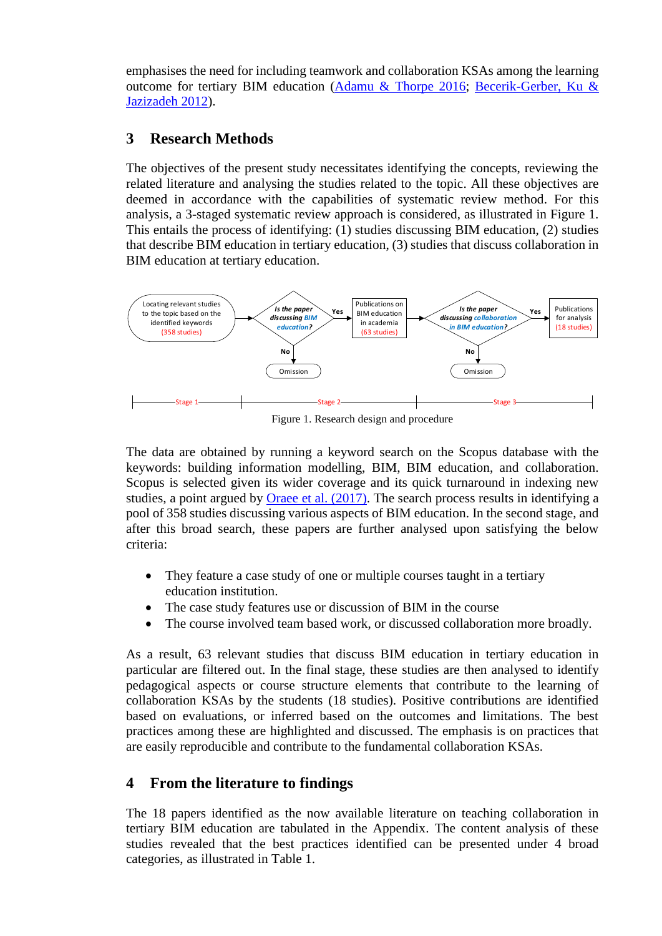emphasises the need for including teamwork and collaboration KSAs among the learning outcome for tertiary BIM education [\(Adamu & Thorpe 2016;](#page-7-5) [Becerik-Gerber, Ku &](#page-7-3)  [Jazizadeh 2012\)](#page-7-3).

# **3 Research Methods**

The objectives of the present study necessitates identifying the concepts, reviewing the related literature and analysing the studies related to the topic. All these objectives are deemed in accordance with the capabilities of systematic review method. For this analysis, a 3-staged systematic review approach is considered, as illustrated in Figure 1. This entails the process of identifying: (1) studies discussing BIM education, (2) studies that describe BIM education in tertiary education, (3) studies that discuss collaboration in BIM education at tertiary education.



Figure 1. Research design and procedure

The data are obtained by running a keyword search on the Scopus database with the keywords: building information modelling, BIM, BIM education, and collaboration. Scopus is selected given its wider coverage and its quick turnaround in indexing new studies, a point argued by [Oraee et al. \(2017\).](#page-8-1) The search process results in identifying a pool of 358 studies discussing various aspects of BIM education. In the second stage, and after this broad search, these papers are further analysed upon satisfying the below criteria:

- They feature a case study of one or multiple courses taught in a tertiary education institution.
- The case study features use or discussion of BIM in the course
- The course involved team based work, or discussed collaboration more broadly.

As a result, 63 relevant studies that discuss BIM education in tertiary education in particular are filtered out. In the final stage, these studies are then analysed to identify pedagogical aspects or course structure elements that contribute to the learning of collaboration KSAs by the students (18 studies). Positive contributions are identified based on evaluations, or inferred based on the outcomes and limitations. The best practices among these are highlighted and discussed. The emphasis is on practices that are easily reproducible and contribute to the fundamental collaboration KSAs.

# **4 From the literature to findings**

The 18 papers identified as the now available literature on teaching collaboration in tertiary BIM education are tabulated in the Appendix. The content analysis of these studies revealed that the best practices identified can be presented under 4 broad categories, as illustrated in Table 1.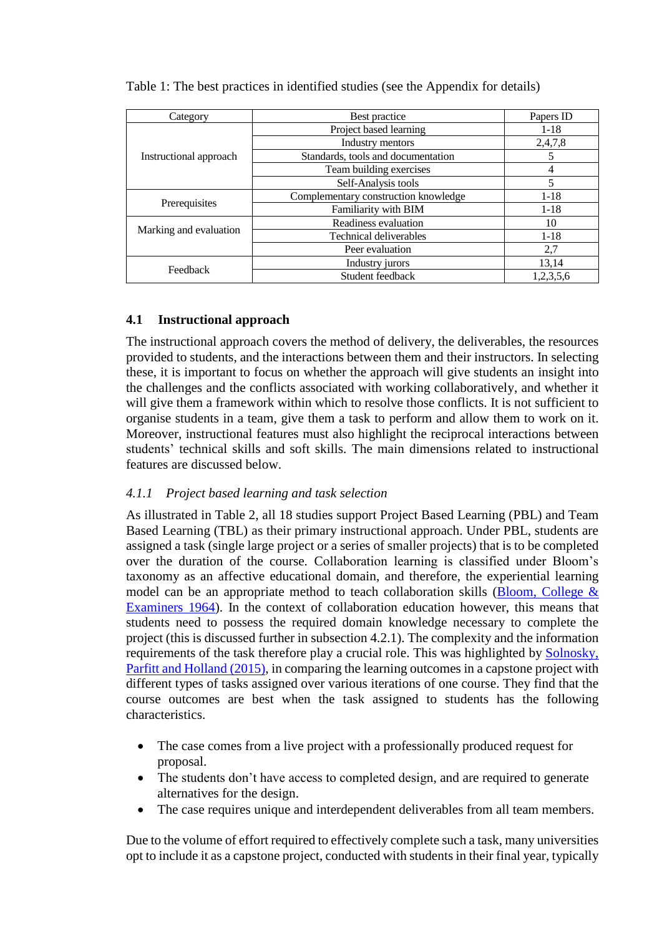| Category               | Best practice                        | Papers ID |
|------------------------|--------------------------------------|-----------|
|                        | Project based learning               | $1 - 18$  |
| Instructional approach | Industry mentors                     | 2,4,7,8   |
|                        | Standards, tools and documentation   |           |
|                        | Team building exercises              |           |
|                        | Self-Analysis tools                  | 5         |
|                        | Complementary construction knowledge | $1 - 18$  |
| Prerequisites          | Familiarity with BIM                 | $1 - 18$  |
|                        | Readiness evaluation                 | 10        |
| Marking and evaluation | <b>Technical deliverables</b>        | $1-18$    |
|                        | Peer evaluation                      | 2,7       |
| Feedback               | Industry jurors                      | 13,14     |
|                        | Student feedback                     | 1,2,3,5,6 |

#### Table 1: The best practices in identified studies (see the Appendix for details)

### **4.1 Instructional approach**

The instructional approach covers the method of delivery, the deliverables, the resources provided to students, and the interactions between them and their instructors. In selecting these, it is important to focus on whether the approach will give students an insight into the challenges and the conflicts associated with working collaboratively, and whether it will give them a framework within which to resolve those conflicts. It is not sufficient to organise students in a team, give them a task to perform and allow them to work on it. Moreover, instructional features must also highlight the reciprocal interactions between students' technical skills and soft skills. The main dimensions related to instructional features are discussed below.

#### *4.1.1 Project based learning and task selection*

As illustrated in Table 2, all 18 studies support Project Based Learning (PBL) and Team Based Learning (TBL) as their primary instructional approach. Under PBL, students are assigned a task (single large project or a series of smaller projects) that is to be completed over the duration of the course. Collaboration learning is classified under Bloom's taxonomy as an affective educational domain, and therefore, the experiential learning model can be an appropriate method to teach collaboration skills (Bloom, College  $\&$ [Examiners 1964\)](#page-7-6). In the context of collaboration education however, this means that students need to possess the required domain knowledge necessary to complete the project (this is discussed further in subsection [4.2.1\)](#page-5-0). The complexity and the information requirements of the task therefore play a crucial role. This was highlighted by [Solnosky,](#page-8-6)  Parfitt and Holland (2015), in comparing the learning outcomes in a capstone project with different types of tasks assigned over various iterations of one course. They find that the course outcomes are best when the task assigned to students has the following characteristics.

- The case comes from a live project with a professionally produced request for proposal.
- The students don't have access to completed design, and are required to generate alternatives for the design.
- The case requires unique and interdependent deliverables from all team members.

Due to the volume of effort required to effectively complete such a task, many universities opt to include it as a capstone project, conducted with students in their final year, typically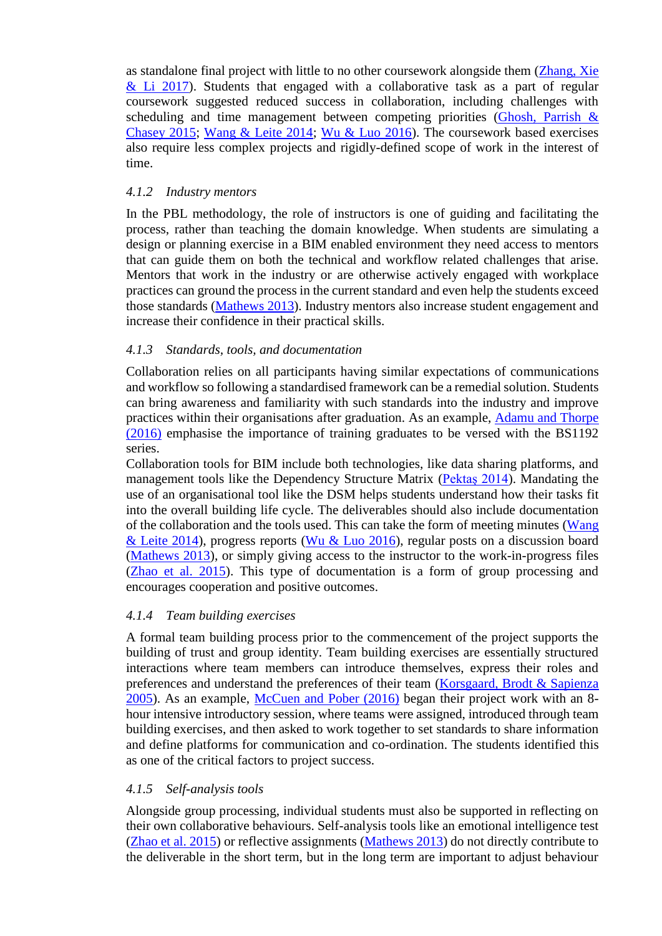as standalone final project with little to no other coursework alongside them [\(Zhang, Xie](#page-9-0)   $&$  Li 2017). Students that engaged with a collaborative task as a part of regular coursework suggested reduced success in collaboration, including challenges with scheduling and time management between competing priorities (Ghosh, Parrish  $\&$ [Chasey 2015;](#page-7-7) [Wang & Leite 2014;](#page-9-1) [Wu & Luo 2016\)](#page-9-2). The coursework based exercises also require less complex projects and rigidly-defined scope of work in the interest of time.

#### *4.1.2 Industry mentors*

In the PBL methodology, the role of instructors is one of guiding and facilitating the process, rather than teaching the domain knowledge. When students are simulating a design or planning exercise in a BIM enabled environment they need access to mentors that can guide them on both the technical and workflow related challenges that arise. Mentors that work in the industry or are otherwise actively engaged with workplace practices can ground the process in the current standard and even help the students exceed those standards [\(Mathews 2013\)](#page-8-7). Industry mentors also increase student engagement and increase their confidence in their practical skills.

#### *4.1.3 Standards, tools, and documentation*

Collaboration relies on all participants having similar expectations of communications and workflow so following a standardised framework can be a remedial solution. Students can bring awareness and familiarity with such standards into the industry and improve practices within their organisations after graduation. As an example, [Adamu and Thorpe](#page-7-5)  (2016) emphasise the importance of training graduates to be versed with the BS1192 series.

Collaboration tools for BIM include both technologies, like data sharing platforms, and management tools like the Dependency Structure Matrix [\(Pektaş 2014\)](#page-8-8). Mandating the use of an organisational tool like the DSM helps students understand how their tasks fit into the overall building life cycle. The deliverables should also include documentation of the collaboration and the tools used. This can take the form of meeting minutes [\(Wang](#page-9-1)  [& Leite 2014\)](#page-9-1), progress reports [\(Wu & Luo 2016\)](#page-9-2), regular posts on a discussion board [\(Mathews 2013\)](#page-8-7), or simply giving access to the instructor to the work-in-progress files [\(Zhao et al. 2015\)](#page-9-3). This type of documentation is a form of group processing and encourages cooperation and positive outcomes.

#### *4.1.4 Team building exercises*

A formal team building process prior to the commencement of the project supports the building of trust and group identity. Team building exercises are essentially structured interactions where team members can introduce themselves, express their roles and preferences and understand the preferences of their team [\(Korsgaard, Brodt & Sapienza](#page-8-9)  [2005\)](#page-8-9). As an example, [McCuen and Pober \(2016\)](#page-8-10) began their project work with an 8 hour intensive introductory session, where teams were assigned, introduced through team building exercises, and then asked to work together to set standards to share information and define platforms for communication and co-ordination. The students identified this as one of the critical factors to project success.

#### *4.1.5 Self-analysis tools*

Alongside group processing, individual students must also be supported in reflecting on their own collaborative behaviours. Self-analysis tools like an emotional intelligence test [\(Zhao et al. 2015\)](#page-9-3) or reflective assignments [\(Mathews 2013\)](#page-8-7) do not directly contribute to the deliverable in the short term, but in the long term are important to adjust behaviour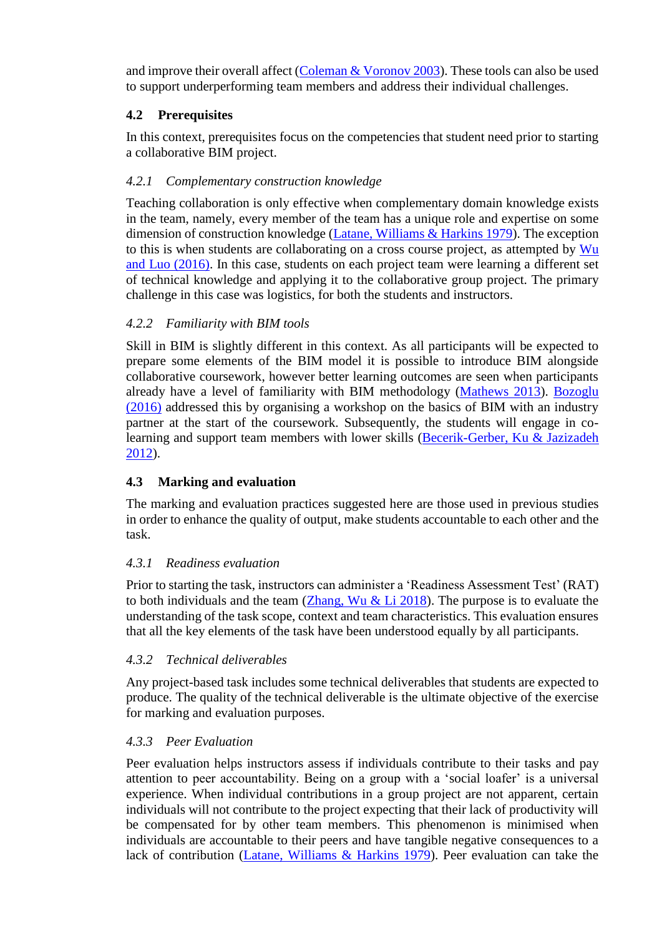and improve their overall affect [\(Coleman & Voronov 2003\)](#page-7-8). These tools can also be used to support underperforming team members and address their individual challenges.

# **4.2 Prerequisites**

In this context, prerequisites focus on the competencies that student need prior to starting a collaborative BIM project.

# <span id="page-5-0"></span>*4.2.1 Complementary construction knowledge*

Teaching collaboration is only effective when complementary domain knowledge exists in the team, namely, every member of the team has a unique role and expertise on some dimension of construction knowledge [\(Latane, Williams & Harkins 1979\)](#page-8-11). The exception to this is when students are collaborating on a cross course project, as attempted by [Wu](#page-9-2)  and Luo (2016). In this case, students on each project team were learning a different set of technical knowledge and applying it to the collaborative group project. The primary challenge in this case was logistics, for both the students and instructors.

# *4.2.2 Familiarity with BIM tools*

Skill in BIM is slightly different in this context. As all participants will be expected to prepare some elements of the BIM model it is possible to introduce BIM alongside collaborative coursework, however better learning outcomes are seen when participants already have a level of familiarity with BIM methodology [\(Mathews 2013\)](#page-8-7). [Bozoglu](#page-7-9)  (2016) addressed this by organising a workshop on the basics of BIM with an industry partner at the start of the coursework. Subsequently, the students will engage in colearning and support team members with lower skills [\(Becerik-Gerber, Ku & Jazizadeh](#page-7-3)  [2012\)](#page-7-3).

# **4.3 Marking and evaluation**

The marking and evaluation practices suggested here are those used in previous studies in order to enhance the quality of output, make students accountable to each other and the task.

# *4.3.1 Readiness evaluation*

Prior to starting the task, instructors can administer a 'Readiness Assessment Test' (RAT) to both individuals and the team  $(Zhang, Wu & Li 2018)$ . The purpose is to evaluate the understanding of the task scope, context and team characteristics. This evaluation ensures that all the key elements of the task have been understood equally by all participants.

# *4.3.2 Technical deliverables*

Any project-based task includes some technical deliverables that students are expected to produce. The quality of the technical deliverable is the ultimate objective of the exercise for marking and evaluation purposes.

# *4.3.3 Peer Evaluation*

Peer evaluation helps instructors assess if individuals contribute to their tasks and pay attention to peer accountability. Being on a group with a 'social loafer' is a universal experience. When individual contributions in a group project are not apparent, certain individuals will not contribute to the project expecting that their lack of productivity will be compensated for by other team members. This phenomenon is minimised when individuals are accountable to their peers and have tangible negative consequences to a lack of contribution [\(Latane, Williams & Harkins 1979\)](#page-8-11). Peer evaluation can take the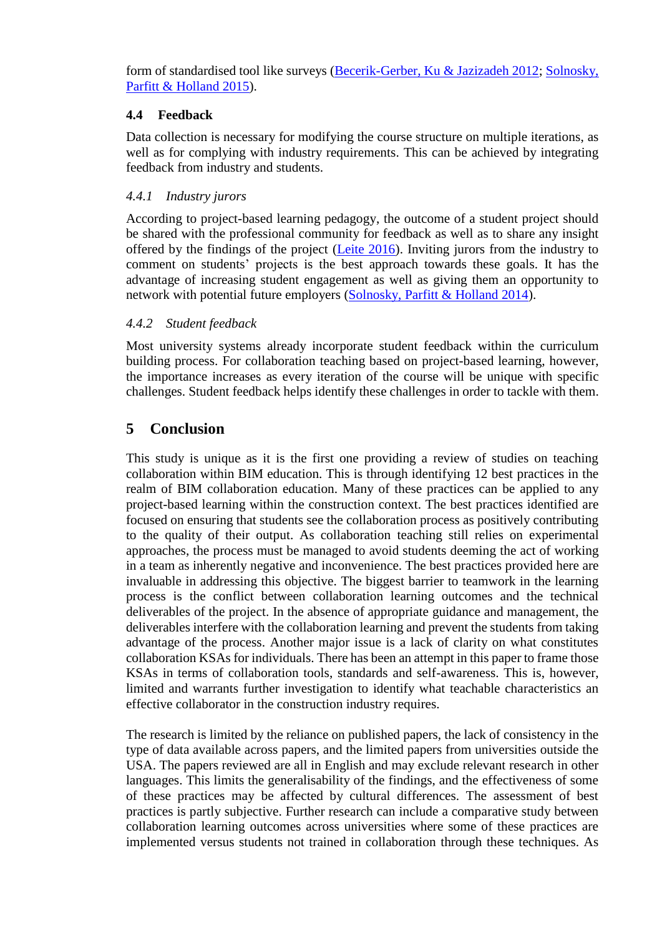form of standardised tool like surveys [\(Becerik-Gerber, Ku & Jazizadeh 2012;](#page-7-3) [Solnosky,](#page-8-6)  [Parfitt & Holland 2015\)](#page-8-6).

### **4.4 Feedback**

Data collection is necessary for modifying the course structure on multiple iterations, as well as for complying with industry requirements. This can be achieved by integrating feedback from industry and students.

### *4.4.1 Industry jurors*

According to project-based learning pedagogy, the outcome of a student project should be shared with the professional community for feedback as well as to share any insight offered by the findings of the project [\(Leite 2016\)](#page-8-12). Inviting jurors from the industry to comment on students' projects is the best approach towards these goals. It has the advantage of increasing student engagement as well as giving them an opportunity to network with potential future employers [\(Solnosky, Parfitt & Holland 2014\)](#page-9-5).

### *4.4.2 Student feedback*

Most university systems already incorporate student feedback within the curriculum building process. For collaboration teaching based on project-based learning, however, the importance increases as every iteration of the course will be unique with specific challenges. Student feedback helps identify these challenges in order to tackle with them.

# **5 Conclusion**

This study is unique as it is the first one providing a review of studies on teaching collaboration within BIM education. This is through identifying 12 best practices in the realm of BIM collaboration education. Many of these practices can be applied to any project-based learning within the construction context. The best practices identified are focused on ensuring that students see the collaboration process as positively contributing to the quality of their output. As collaboration teaching still relies on experimental approaches, the process must be managed to avoid students deeming the act of working in a team as inherently negative and inconvenience. The best practices provided here are invaluable in addressing this objective. The biggest barrier to teamwork in the learning process is the conflict between collaboration learning outcomes and the technical deliverables of the project. In the absence of appropriate guidance and management, the deliverables interfere with the collaboration learning and prevent the students from taking advantage of the process. Another major issue is a lack of clarity on what constitutes collaboration KSAs for individuals. There has been an attempt in this paper to frame those KSAs in terms of collaboration tools, standards and self-awareness. This is, however, limited and warrants further investigation to identify what teachable characteristics an effective collaborator in the construction industry requires.

The research is limited by the reliance on published papers, the lack of consistency in the type of data available across papers, and the limited papers from universities outside the USA. The papers reviewed are all in English and may exclude relevant research in other languages. This limits the generalisability of the findings, and the effectiveness of some of these practices may be affected by cultural differences. The assessment of best practices is partly subjective. Further research can include a comparative study between collaboration learning outcomes across universities where some of these practices are implemented versus students not trained in collaboration through these techniques. As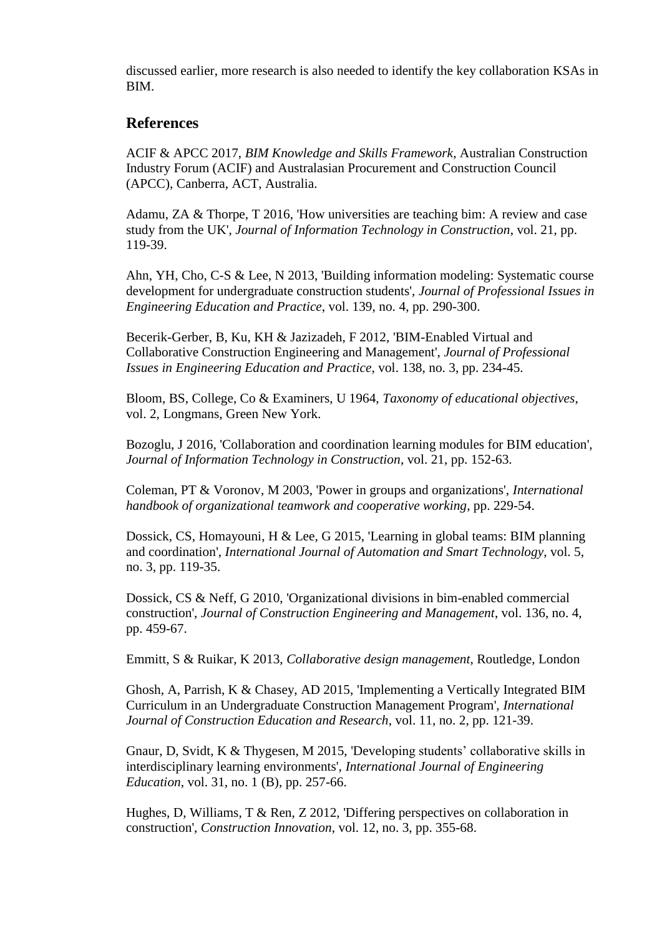discussed earlier, more research is also needed to identify the key collaboration KSAs in BIM.

# **References**

<span id="page-7-0"></span>ACIF & APCC 2017, *BIM Knowledge and Skills Framework*, Australian Construction Industry Forum (ACIF) and Australasian Procurement and Construction Council (APCC), Canberra, ACT, Australia.

<span id="page-7-5"></span>Adamu, ZA & Thorpe, T 2016, 'How universities are teaching bim: A review and case study from the UK', *Journal of Information Technology in Construction*, vol. 21, pp. 119-39.

<span id="page-7-12"></span>Ahn, YH, Cho, C-S & Lee, N 2013, 'Building information modeling: Systematic course development for undergraduate construction students', *Journal of Professional Issues in Engineering Education and Practice*, vol. 139, no. 4, pp. 290-300.

<span id="page-7-3"></span>Becerik-Gerber, B, Ku, KH & Jazizadeh, F 2012, 'BIM-Enabled Virtual and Collaborative Construction Engineering and Management', *Journal of Professional Issues in Engineering Education and Practice*, vol. 138, no. 3, pp. 234-45.

<span id="page-7-6"></span>Bloom, BS, College, Co & Examiners, U 1964, *Taxonomy of educational objectives*, vol. 2, Longmans, Green New York.

<span id="page-7-9"></span>Bozoglu, J 2016, 'Collaboration and coordination learning modules for BIM education', *Journal of Information Technology in Construction*, vol. 21, pp. 152-63.

<span id="page-7-8"></span>Coleman, PT & Voronov, M 2003, 'Power in groups and organizations', *International handbook of organizational teamwork and cooperative working*, pp. 229-54.

<span id="page-7-10"></span>Dossick, CS, Homayouni, H & Lee, G 2015, 'Learning in global teams: BIM planning and coordination', *International Journal of Automation and Smart Technology*, vol. 5, no. 3, pp. 119-35.

<span id="page-7-4"></span>Dossick, CS & Neff, G 2010, 'Organizational divisions in bim-enabled commercial construction', *Journal of Construction Engineering and Management*, vol. 136, no. 4, pp. 459-67.

<span id="page-7-2"></span>Emmitt, S & Ruikar, K 2013, *Collaborative design management*, Routledge, London

<span id="page-7-7"></span>Ghosh, A, Parrish, K & Chasey, AD 2015, 'Implementing a Vertically Integrated BIM Curriculum in an Undergraduate Construction Management Program', *International Journal of Construction Education and Research*, vol. 11, no. 2, pp. 121-39.

<span id="page-7-11"></span>Gnaur, D, Svidt, K & Thygesen, M 2015, 'Developing students' collaborative skills in interdisciplinary learning environments', *International Journal of Engineering Education*, vol. 31, no. 1 (B), pp. 257-66.

<span id="page-7-1"></span>Hughes, D, Williams, T & Ren, Z 2012, 'Differing perspectives on collaboration in construction', *Construction Innovation*, vol. 12, no. 3, pp. 355-68.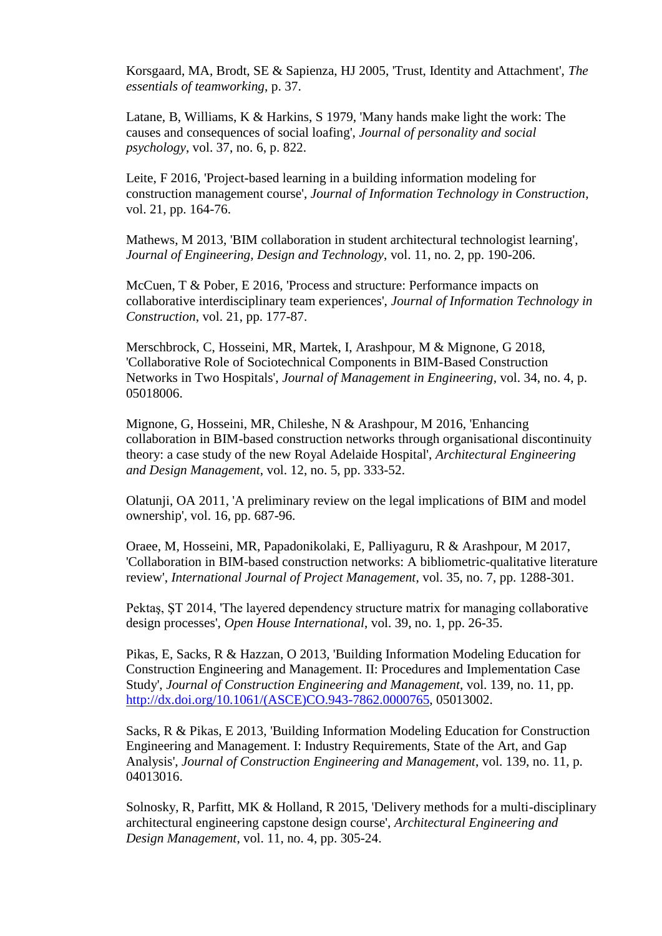<span id="page-8-9"></span>Korsgaard, MA, Brodt, SE & Sapienza, HJ 2005, 'Trust, Identity and Attachment', *The essentials of teamworking*, p. 37.

<span id="page-8-11"></span>Latane, B, Williams, K & Harkins, S 1979, 'Many hands make light the work: The causes and consequences of social loafing', *Journal of personality and social psychology*, vol. 37, no. 6, p. 822.

<span id="page-8-12"></span>Leite, F 2016, 'Project-based learning in a building information modeling for construction management course', *Journal of Information Technology in Construction*, vol. 21, pp. 164-76.

<span id="page-8-7"></span>Mathews, M 2013, 'BIM collaboration in student architectural technologist learning', *Journal of Engineering, Design and Technology*, vol. 11, no. 2, pp. 190-206.

<span id="page-8-10"></span>McCuen, T & Pober, E 2016, 'Process and structure: Performance impacts on collaborative interdisciplinary team experiences', *Journal of Information Technology in Construction*, vol. 21, pp. 177-87.

<span id="page-8-2"></span>Merschbrock, C, Hosseini, MR, Martek, I, Arashpour, M & Mignone, G 2018, 'Collaborative Role of Sociotechnical Components in BIM-Based Construction Networks in Two Hospitals', *Journal of Management in Engineering*, vol. 34, no. 4, p. 05018006.

<span id="page-8-0"></span>Mignone, G, Hosseini, MR, Chileshe, N & Arashpour, M 2016, 'Enhancing collaboration in BIM-based construction networks through organisational discontinuity theory: a case study of the new Royal Adelaide Hospital', *Architectural Engineering and Design Management*, vol. 12, no. 5, pp. 333-52.

<span id="page-8-3"></span>Olatunji, OA 2011, 'A preliminary review on the legal implications of BIM and model ownership', vol. 16, pp. 687-96.

<span id="page-8-1"></span>Oraee, M, Hosseini, MR, Papadonikolaki, E, Palliyaguru, R & Arashpour, M 2017, 'Collaboration in BIM-based construction networks: A bibliometric-qualitative literature review', *International Journal of Project Management*, vol. 35, no. 7, pp. 1288-301.

<span id="page-8-8"></span>Pektaş, ŞT 2014, 'The layered dependency structure matrix for managing collaborative design processes', *Open House International*, vol. 39, no. 1, pp. 26-35.

<span id="page-8-4"></span>Pikas, E, Sacks, R & Hazzan, O 2013, 'Building Information Modeling Education for Construction Engineering and Management. II: Procedures and Implementation Case Study', *Journal of Construction Engineering and Management*, vol. 139, no. 11, pp. [http://dx.doi.org/10.1061/\(ASCE\)CO.943-7862.0000765,](http://dx.doi.org/10.1061/(ASCE)CO.943-7862.0000765) 05013002.

<span id="page-8-5"></span>Sacks, R & Pikas, E 2013, 'Building Information Modeling Education for Construction Engineering and Management. I: Industry Requirements, State of the Art, and Gap Analysis', *Journal of Construction Engineering and Management*, vol. 139, no. 11, p. 04013016.

<span id="page-8-6"></span>Solnosky, R, Parfitt, MK & Holland, R 2015, 'Delivery methods for a multi-disciplinary architectural engineering capstone design course', *Architectural Engineering and Design Management*, vol. 11, no. 4, pp. 305-24.